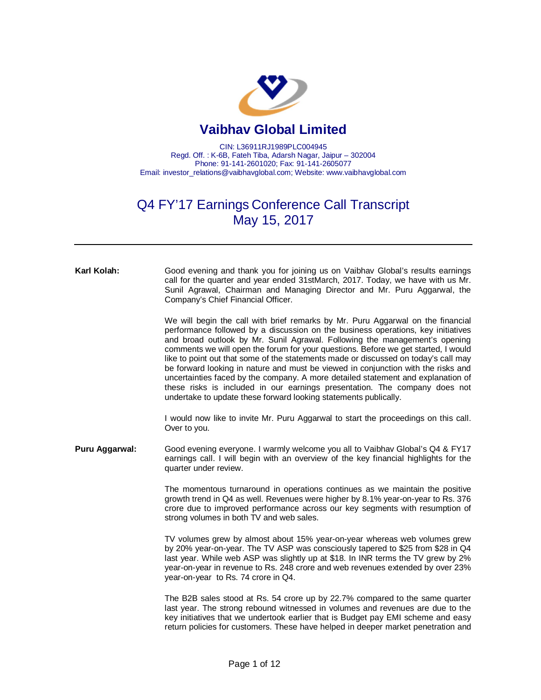

## **Vaibhav Global Limited**

CIN: L36911RJ1989PLC004945 Regd. Off. : K-6B, Fateh Tiba, Adarsh Nagar, Jaipur – 302004 Phone: 91-141-2601020; Fax: 91-141-2605077 Email: [investor\\_relations@vaibhavglobal.com;](mailto:investor_relations@vaibhavglobal.com;) Website: [www.vaibhavglobal.com](http://www.vaibhavglobal.com)

## Q4 FY'17 Earnings Conference Call Transcript May 15, 2017

| Karl Kolah:    | Good evening and thank you for joining us on Vaibhav Global's results earnings<br>call for the quarter and year ended 31stMarch, 2017. Today, we have with us Mr.<br>Sunil Agrawal, Chairman and Managing Director and Mr. Puru Aggarwal, the<br>Company's Chief Financial Officer.                                                                                                                                                                                                                                                                                                                                                                                                                                                                       |
|----------------|-----------------------------------------------------------------------------------------------------------------------------------------------------------------------------------------------------------------------------------------------------------------------------------------------------------------------------------------------------------------------------------------------------------------------------------------------------------------------------------------------------------------------------------------------------------------------------------------------------------------------------------------------------------------------------------------------------------------------------------------------------------|
|                | We will begin the call with brief remarks by Mr. Puru Aggarwal on the financial<br>performance followed by a discussion on the business operations, key initiatives<br>and broad outlook by Mr. Sunil Agrawal. Following the management's opening<br>comments we will open the forum for your questions. Before we get started, I would<br>like to point out that some of the statements made or discussed on today's call may<br>be forward looking in nature and must be viewed in conjunction with the risks and<br>uncertainties faced by the company. A more detailed statement and explanation of<br>these risks is included in our earnings presentation. The company does not<br>undertake to update these forward looking statements publically. |
|                | I would now like to invite Mr. Puru Aggarwal to start the proceedings on this call.<br>Over to you.                                                                                                                                                                                                                                                                                                                                                                                                                                                                                                                                                                                                                                                       |
| Puru Aggarwal: | Good evening everyone. I warmly welcome you all to Vaibhav Global's Q4 & FY17<br>earnings call. I will begin with an overview of the key financial highlights for the<br>quarter under review.                                                                                                                                                                                                                                                                                                                                                                                                                                                                                                                                                            |
|                | The momentous turnaround in operations continues as we maintain the positive<br>growth trend in Q4 as well. Revenues were higher by 8.1% year-on-year to Rs. 376<br>crore due to improved performance across our key segments with resumption of<br>strong volumes in both TV and web sales.                                                                                                                                                                                                                                                                                                                                                                                                                                                              |
|                | TV volumes grew by almost about 15% year-on-year whereas web volumes grew<br>by 20% year-on-year. The TV ASP was consciously tapered to \$25 from \$28 in Q4<br>last year. While web ASP was slightly up at \$18. In INR terms the TV grew by 2%<br>year-on-year in revenue to Rs. 248 crore and web revenues extended by over 23%<br>year-on-year to Rs. 74 crore in Q4.                                                                                                                                                                                                                                                                                                                                                                                 |
|                | The B2B sales stood at Rs. 54 crore up by 22.7% compared to the same quarter<br>last year. The strong rebound witnessed in volumes and revenues are due to the<br>key initiatives that we undertook earlier that is Budget pay EMI scheme and easy<br>return policies for customers. These have helped in deeper market penetration and                                                                                                                                                                                                                                                                                                                                                                                                                   |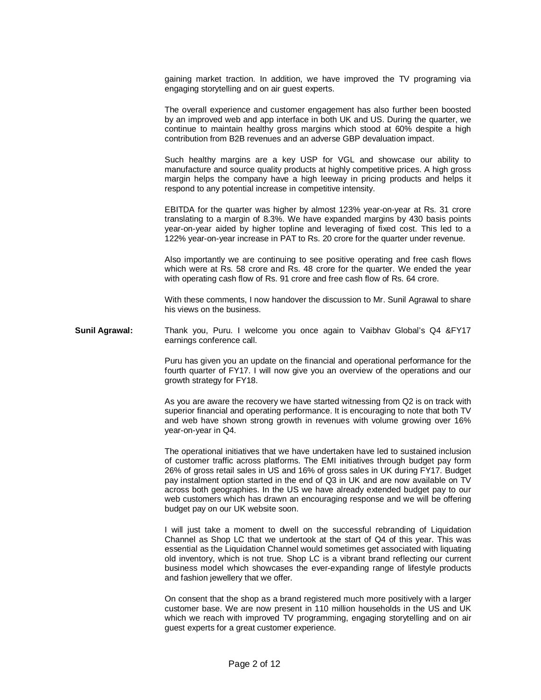gaining market traction. In addition, we have improved the TV programing via engaging storytelling and on air guest experts.

The overall experience and customer engagement has also further been boosted by an improved web and app interface in both UK and US. During the quarter, we continue to maintain healthy gross margins which stood at 60% despite a high contribution from B2B revenues and an adverse GBP devaluation impact.

Such healthy margins are a key USP for VGL and showcase our ability to manufacture and source quality products at highly competitive prices. A high gross margin helps the company have a high leeway in pricing products and helps it respond to any potential increase in competitive intensity.

EBITDA for the quarter was higher by almost 123% year-on-year at Rs. 31 crore translating to a margin of 8.3%. We have expanded margins by 430 basis points year-on-year aided by higher topline and leveraging of fixed cost. This led to a 122% year-on-year increase in PAT to Rs. 20 crore for the quarter under revenue.

Also importantly we are continuing to see positive operating and free cash flows which were at Rs. 58 crore and Rs. 48 crore for the quarter. We ended the year with operating cash flow of Rs. 91 crore and free cash flow of Rs. 64 crore.

With these comments, I now handover the discussion to Mr. Sunil Agrawal to share his views on the business.

**Sunil Agrawal:** Thank you, Puru. I welcome you once again to Vaibhav Global's Q4 &FY17 earnings conference call.

> Puru has given you an update on the financial and operational performance for the fourth quarter of FY17. I will now give you an overview of the operations and our growth strategy for FY18.

> As you are aware the recovery we have started witnessing from Q2 is on track with superior financial and operating performance. It is encouraging to note that both TV and web have shown strong growth in revenues with volume growing over 16% year-on-year in Q4.

> The operational initiatives that we have undertaken have led to sustained inclusion of customer traffic across platforms. The EMI initiatives through budget pay form 26% of gross retail sales in US and 16% of gross sales in UK during FY17. Budget pay instalment option started in the end of Q3 in UK and are now available on TV across both geographies. In the US we have already extended budget pay to our web customers which has drawn an encouraging response and we will be offering budget pay on our UK website soon.

> I will just take a moment to dwell on the successful rebranding of Liquidation Channel as Shop LC that we undertook at the start of Q4 of this year. This was essential as the Liquidation Channel would sometimes get associated with liquating old inventory, which is not true. Shop LC is a vibrant brand reflecting our current business model which showcases the ever-expanding range of lifestyle products and fashion jewellery that we offer.

> On consent that the shop as a brand registered much more positively with a larger customer base. We are now present in 110 million households in the US and UK which we reach with improved TV programming, engaging storytelling and on air guest experts for a great customer experience.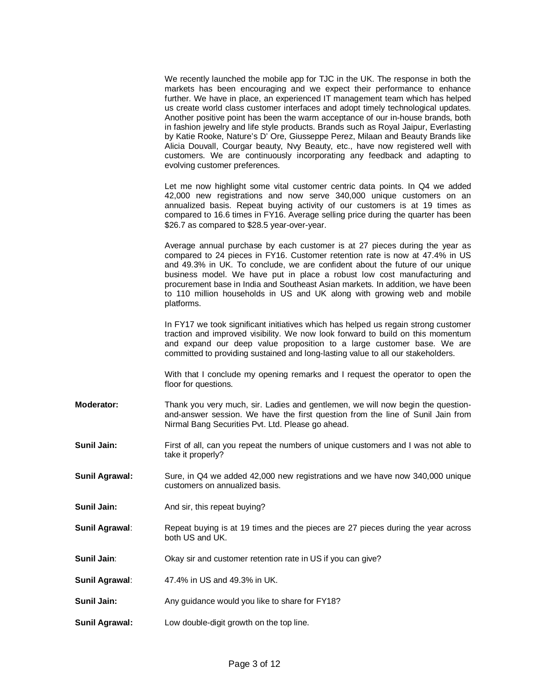We recently launched the mobile app for TJC in the UK. The response in both the markets has been encouraging and we expect their performance to enhance further. We have in place, an experienced IT management team which has helped us create world class customer interfaces and adopt timely technological updates. Another positive point has been the warm acceptance of our in-house brands, both in fashion jewelry and life style products. Brands such as Royal Jaipur, Everlasting by Katie Rooke, Nature's D' Ore, Giusseppe Perez, Milaan and Beauty Brands like Alicia Douvall, Courgar beauty, Nvy Beauty, etc., have now registered well with customers. We are continuously incorporating any feedback and adapting to evolving customer preferences.

Let me now highlight some vital customer centric data points. In Q4 we added 42,000 new registrations and now serve 340,000 unique customers on an annualized basis. Repeat buying activity of our customers is at 19 times as compared to 16.6 times in FY16. Average selling price during the quarter has been \$26.7 as compared to \$28.5 year-over-year.

Average annual purchase by each customer is at 27 pieces during the year as compared to 24 pieces in FY16. Customer retention rate is now at 47.4% in US and 49.3% in UK. To conclude, we are confident about the future of our unique business model. We have put in place a robust low cost manufacturing and procurement base in India and Southeast Asian markets. In addition, we have been to 110 million households in US and UK along with growing web and mobile platforms.

In FY17 we took significant initiatives which has helped us regain strong customer traction and improved visibility. We now look forward to build on this momentum and expand our deep value proposition to a large customer base. We are committed to providing sustained and long-lasting value to all our stakeholders.

With that I conclude my opening remarks and I request the operator to open the floor for questions.

- **Moderator:** Thank you very much, sir. Ladies and gentlemen, we will now begin the questionand-answer session. We have the first question from the line of Sunil Jain from Nirmal Bang Securities Pvt. Ltd. Please go ahead.
- **Sunil Jain:** First of all, can you repeat the numbers of unique customers and I was not able to take it properly?
- **Sunil Agrawal:** Sure, in Q4 we added 42,000 new registrations and we have now 340,000 unique customers on annualized basis.
- **Sunil Jain:** And sir, this repeat buying?
- **Sunil Agrawal:** Repeat buying is at 19 times and the pieces are 27 pieces during the year across both US and UK.
- **Sunil Jain:** Okay sir and customer retention rate in US if you can give?
- **Sunil Agrawal**: 47.4% in US and 49.3% in UK.
- **Sunil Jain:** Any guidance would you like to share for FY18?
- **Sunil Agrawal:** Low double-digit growth on the top line.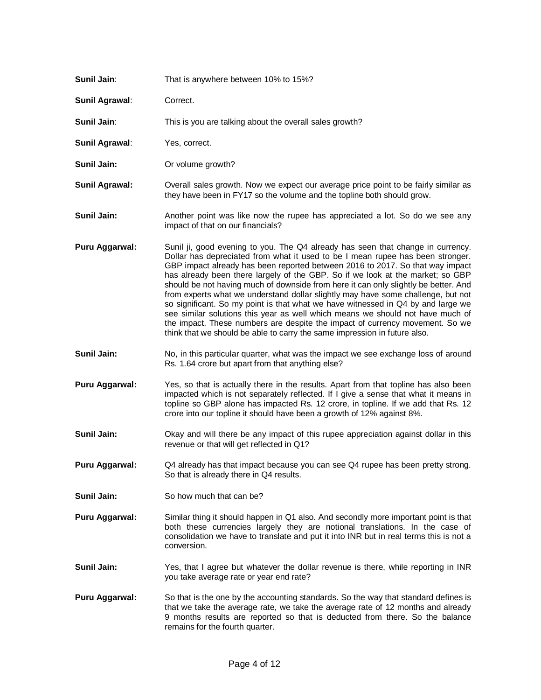| Sunil Jain:           | That is anywhere between 10% to 15%?                                                                                                                                                                                                                                                                                                                                                                                                                                                                                                                                                                                                                                                                                                                                                                                                               |
|-----------------------|----------------------------------------------------------------------------------------------------------------------------------------------------------------------------------------------------------------------------------------------------------------------------------------------------------------------------------------------------------------------------------------------------------------------------------------------------------------------------------------------------------------------------------------------------------------------------------------------------------------------------------------------------------------------------------------------------------------------------------------------------------------------------------------------------------------------------------------------------|
| Sunil Agrawal:        | Correct.                                                                                                                                                                                                                                                                                                                                                                                                                                                                                                                                                                                                                                                                                                                                                                                                                                           |
| Sunil Jain:           | This is you are talking about the overall sales growth?                                                                                                                                                                                                                                                                                                                                                                                                                                                                                                                                                                                                                                                                                                                                                                                            |
| Sunil Agrawal:        | Yes, correct.                                                                                                                                                                                                                                                                                                                                                                                                                                                                                                                                                                                                                                                                                                                                                                                                                                      |
| Sunil Jain:           | Or volume growth?                                                                                                                                                                                                                                                                                                                                                                                                                                                                                                                                                                                                                                                                                                                                                                                                                                  |
| <b>Sunil Agrawal:</b> | Overall sales growth. Now we expect our average price point to be fairly similar as<br>they have been in FY17 so the volume and the topline both should grow.                                                                                                                                                                                                                                                                                                                                                                                                                                                                                                                                                                                                                                                                                      |
| Sunil Jain:           | Another point was like now the rupee has appreciated a lot. So do we see any<br>impact of that on our financials?                                                                                                                                                                                                                                                                                                                                                                                                                                                                                                                                                                                                                                                                                                                                  |
| Puru Aggarwal:        | Sunil ji, good evening to you. The Q4 already has seen that change in currency.<br>Dollar has depreciated from what it used to be I mean rupee has been stronger.<br>GBP impact already has been reported between 2016 to 2017. So that way impact<br>has already been there largely of the GBP. So if we look at the market; so GBP<br>should be not having much of downside from here it can only slightly be better. And<br>from experts what we understand dollar slightly may have some challenge, but not<br>so significant. So my point is that what we have witnessed in Q4 by and large we<br>see similar solutions this year as well which means we should not have much of<br>the impact. These numbers are despite the impact of currency movement. So we<br>think that we should be able to carry the same impression in future also. |
| Sunil Jain:           | No, in this particular quarter, what was the impact we see exchange loss of around<br>Rs. 1.64 crore but apart from that anything else?                                                                                                                                                                                                                                                                                                                                                                                                                                                                                                                                                                                                                                                                                                            |
| Puru Aggarwal:        | Yes, so that is actually there in the results. Apart from that topline has also been<br>impacted which is not separately reflected. If I give a sense that what it means in<br>topline so GBP alone has impacted Rs. 12 crore, in topline. If we add that Rs. 12<br>crore into our topline it should have been a growth of 12% against 8%.                                                                                                                                                                                                                                                                                                                                                                                                                                                                                                         |
| Sunil Jain:           | Okay and will there be any impact of this rupee appreciation against dollar in this<br>revenue or that will get reflected in Q1?                                                                                                                                                                                                                                                                                                                                                                                                                                                                                                                                                                                                                                                                                                                   |
| Puru Aggarwal:        | Q4 already has that impact because you can see Q4 rupee has been pretty strong.<br>So that is already there in Q4 results.                                                                                                                                                                                                                                                                                                                                                                                                                                                                                                                                                                                                                                                                                                                         |
| Sunil Jain:           | So how much that can be?                                                                                                                                                                                                                                                                                                                                                                                                                                                                                                                                                                                                                                                                                                                                                                                                                           |
| Puru Aggarwal:        | Similar thing it should happen in Q1 also. And secondly more important point is that<br>both these currencies largely they are notional translations. In the case of<br>consolidation we have to translate and put it into INR but in real terms this is not a<br>conversion.                                                                                                                                                                                                                                                                                                                                                                                                                                                                                                                                                                      |
| Sunil Jain:           | Yes, that I agree but whatever the dollar revenue is there, while reporting in INR<br>you take average rate or year end rate?                                                                                                                                                                                                                                                                                                                                                                                                                                                                                                                                                                                                                                                                                                                      |
| Puru Aggarwal:        | So that is the one by the accounting standards. So the way that standard defines is<br>that we take the average rate, we take the average rate of 12 months and already<br>9 months results are reported so that is deducted from there. So the balance<br>remains for the fourth quarter.                                                                                                                                                                                                                                                                                                                                                                                                                                                                                                                                                         |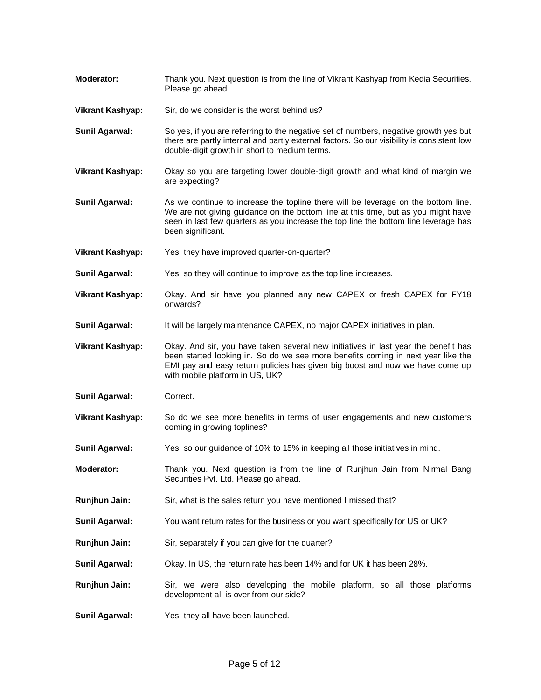- **Moderator:** Thank you. Next question is from the line of Vikrant Kashyap from Kedia Securities. Please go ahead.
- **Vikrant Kashyap:** Sir, do we consider is the worst behind us?
- **Sunil Agarwal:** So yes, if you are referring to the negative set of numbers, negative growth yes but there are partly internal and partly external factors. So our visibility is consistent low double-digit growth in short to medium terms.
- **Vikrant Kashyap:** Okay so you are targeting lower double-digit growth and what kind of margin we are expecting?
- **Sunil Agarwal:** As we continue to increase the topline there will be leverage on the bottom line. We are not giving guidance on the bottom line at this time, but as you might have seen in last few quarters as you increase the top line the bottom line leverage has been significant.
- **Vikrant Kashyap:** Yes, they have improved quarter-on-quarter?
- **Sunil Agarwal:** Yes, so they will continue to improve as the top line increases.
- **Vikrant Kashyap:** Okay. And sir have you planned any new CAPEX or fresh CAPEX for FY18 onwards?
- **Sunil Agarwal:** It will be largely maintenance CAPEX, no major CAPEX initiatives in plan.
- **Vikrant Kashyap:** Okay. And sir, you have taken several new initiatives in last year the benefit has been started looking in. So do we see more benefits coming in next year like the EMI pay and easy return policies has given big boost and now we have come up with mobile platform in US, UK?
- **Sunil Agarwal:** Correct.
- **Vikrant Kashyap:** So do we see more benefits in terms of user engagements and new customers coming in growing toplines?
- **Sunil Agarwal:** Yes, so our guidance of 10% to 15% in keeping all those initiatives in mind.
- **Moderator:** Thank you. Next question is from the line of Runjhun Jain from Nirmal Bang Securities Pvt. Ltd. Please go ahead.
- **Runjhun Jain:** Sir, what is the sales return you have mentioned I missed that?
- **Sunil Agarwal:** You want return rates for the business or you want specifically for US or UK?
- **Runjhun Jain:** Sir, separately if you can give for the quarter?
- **Sunil Agarwal:** Okay. In US, the return rate has been 14% and for UK it has been 28%.
- **Runjhun Jain:** Sir, we were also developing the mobile platform, so all those platforms development all is over from our side?
- **Sunil Agarwal:** Yes, they all have been launched.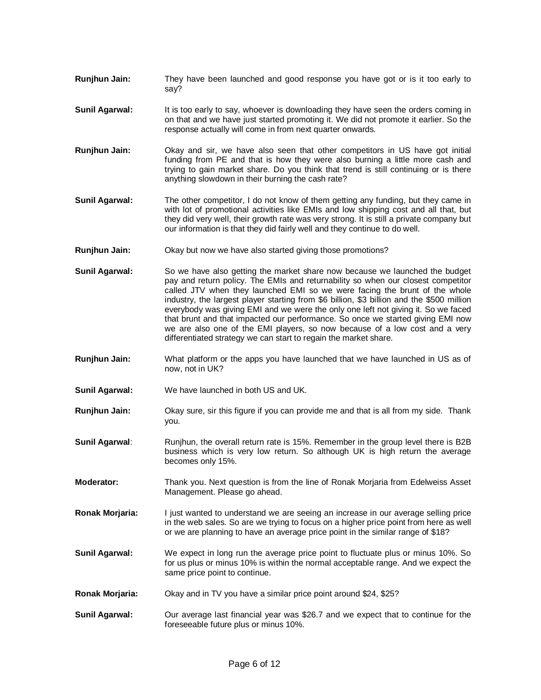- **Runjhun Jain:** They have been launched and good response you have got or is it too early to say?
- **Sunil Agarwal:** It is too early to say, whoever is downloading they have seen the orders coming in on that and we have just started promoting it. We did not promote it earlier. So the response actually will come in from next quarter onwards.
- **Runjhun Jain:** Okay and sir, we have also seen that other competitors in US have got initial funding from PE and that is how they were also burning a little more cash and trying to gain market share. Do you think that trend is still continuing or is there anything slowdown in their burning the cash rate?
- **Sunil Agarwal:** The other competitor, I do not know of them getting any funding, but they came in with lot of promotional activities like EMIs and low shipping cost and all that, but they did very well, their growth rate was very strong. It is still a private company but our information is that they did fairly well and they continue to do well.
- **Runjhun Jain:** Okay but now we have also started giving those promotions?
- **Sunil Agarwal:** So we have also getting the market share now because we launched the budget pay and return policy. The EMIs and returnability so when our closest competitor called JTV when they launched EMI so we were facing the brunt of the whole industry, the largest player starting from \$6 billion, \$3 billion and the \$500 million everybody was giving EMI and we were the only one left not giving it. So we faced that brunt and that impacted our performance. So once we started giving EMI now we are also one of the EMI players, so now because of a low cost and a very differentiated strategy we can start to regain the market share.
- **Runjhun Jain:** What platform or the apps you have launched that we have launched in US as of now, not in UK?
- **Sunil Agarwal:** We have launched in both US and UK.
- **Runjhun Jain:** Okay sure, sir this figure if you can provide me and that is all from my side. Thank you.
- **Sunil Agarwal:** Runjhun, the overall return rate is 15%. Remember in the group level there is B2B business which is very low return. So although UK is high return the average becomes only 15%.
- **Moderator:** Thank you. Next question is from the line of Ronak Morjaria from Edelweiss Asset Management. Please go ahead.
- **Ronak Morjaria:** I just wanted to understand we are seeing an increase in our average selling price in the web sales. So are we trying to focus on a higher price point from here as well or we are planning to have an average price point in the similar range of \$18?
- **Sunil Agarwal:** We expect in long run the average price point to fluctuate plus or minus 10%. So for us plus or minus 10% is within the normal acceptable range. And we expect the same price point to continue.
- **Ronak Morjaria:** Okay and in TV you have a similar price point around \$24, \$25?
- **Sunil Agarwal:** Our average last financial year was \$26.7 and we expect that to continue for the foreseeable future plus or minus 10%.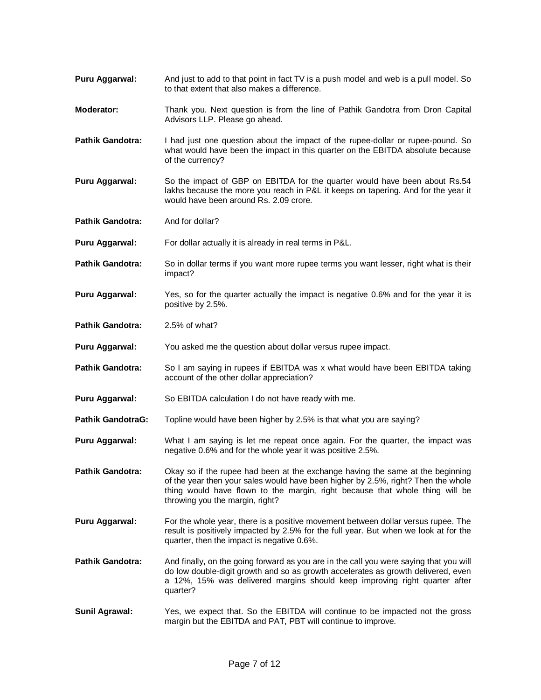- **Puru Aggarwal:** And just to add to that point in fact TV is a push model and web is a pull model. So to that extent that also makes a difference.
- **Moderator:** Thank you. Next question is from the line of Pathik Gandotra from Dron Capital Advisors LLP. Please go ahead.
- **Pathik Gandotra:** I had just one question about the impact of the rupee-dollar or rupee-pound. So what would have been the impact in this quarter on the EBITDA absolute because of the currency?
- **Puru Aggarwal:** So the impact of GBP on EBITDA for the quarter would have been about Rs.54 lakhs because the more you reach in P&L it keeps on tapering. And for the year it would have been around Rs. 2.09 crore.
- **Pathik Gandotra:** And for dollar?
- **Puru Aggarwal:** For dollar actually it is already in real terms in P&L.
- **Pathik Gandotra:** So in dollar terms if you want more rupee terms you want lesser, right what is their impact?
- **Puru Aggarwal:** Yes, so for the quarter actually the impact is negative 0.6% and for the year it is positive by 2.5%.
- **Pathik Gandotra:** 2.5% of what?
- **Puru Aggarwal:** You asked me the question about dollar versus rupee impact.
- **Pathik Gandotra:** So I am saying in rupees if EBITDA was x what would have been EBITDA taking account of the other dollar appreciation?
- **Puru Aggarwal:** So EBITDA calculation I do not have ready with me.
- **Pathik GandotraG:** Topline would have been higher by 2.5% is that what you are saying?
- **Puru Aggarwal:** What I am saying is let me repeat once again. For the quarter, the impact was negative 0.6% and for the whole year it was positive 2.5%.
- **Pathik Gandotra:** Okay so if the rupee had been at the exchange having the same at the beginning of the year then your sales would have been higher by 2.5%, right? Then the whole thing would have flown to the margin, right because that whole thing will be throwing you the margin, right?
- **Puru Aggarwal:** For the whole year, there is a positive movement between dollar versus rupee. The result is positively impacted by 2.5% for the full year. But when we look at for the quarter, then the impact is negative 0.6%.
- **Pathik Gandotra:** And finally, on the going forward as you are in the call you were saying that you will do low double-digit growth and so as growth accelerates as growth delivered, even a 12%, 15% was delivered margins should keep improving right quarter after quarter?
- **Sunil Agrawal:** Yes, we expect that. So the EBITDA will continue to be impacted not the gross margin but the EBITDA and PAT, PBT will continue to improve.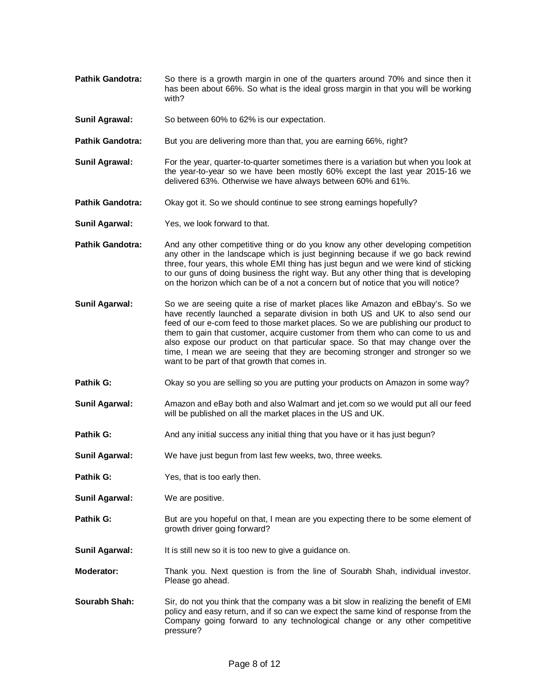- **Pathik Gandotra:** So there is a growth margin in one of the quarters around 70% and since then it has been about 66%. So what is the ideal gross margin in that you will be working with?
- **Sunil Agrawal:** So between 60% to 62% is our expectation.
- **Pathik Gandotra:** But you are delivering more than that, you are earning 66%, right?
- **Sunil Agrawal:** For the year, quarter-to-quarter sometimes there is a variation but when you look at the year-to-year so we have been mostly 60% except the last year 2015-16 we delivered 63%. Otherwise we have always between 60% and 61%.
- **Pathik Gandotra:** Okay got it. So we should continue to see strong earnings hopefully?
- **Sunil Agarwal:** Yes, we look forward to that.
- **Pathik Gandotra:** And any other competitive thing or do you know any other developing competition any other in the landscape which is just beginning because if we go back rewind three, four years, this whole EMI thing has just begun and we were kind of sticking to our guns of doing business the right way. But any other thing that is developing on the horizon which can be of a not a concern but of notice that you will notice?
- **Sunil Agarwal:** So we are seeing quite a rise of market places like Amazon and eBbay's. So we have recently launched a separate division in both US and UK to also send our feed of our e-com feed to those market places. So we are publishing our product to them to gain that customer, acquire customer from them who can come to us and also expose our product on that particular space. So that may change over the time, I mean we are seeing that they are becoming stronger and stronger so we want to be part of that growth that comes in.
- **Pathik G:** Okay so you are selling so you are putting your products on Amazon in some way?
- **Sunil Agarwal:** Amazon and eBay both and also Walmart and jet.com so we would put all our feed will be published on all the market places in the US and UK.
- **Pathik G:** And any initial success any initial thing that you have or it has just begun?
- **Sunil Agarwal:** We have just begun from last few weeks, two, three weeks.
- **Pathik G:** Yes, that is too early then.
- **Sunil Agarwal:** We are positive.
- **Pathik G:** But are you hopeful on that, I mean are you expecting there to be some element of growth driver going forward?
- **Sunil Agarwal:** It is still new so it is too new to give a guidance on.
- **Moderator:** Thank you. Next question is from the line of Sourabh Shah, individual investor. Please go ahead.
- **Sourabh Shah:** Sir, do not you think that the company was a bit slow in realizing the benefit of EMI policy and easy return, and if so can we expect the same kind of response from the Company going forward to any technological change or any other competitive pressure?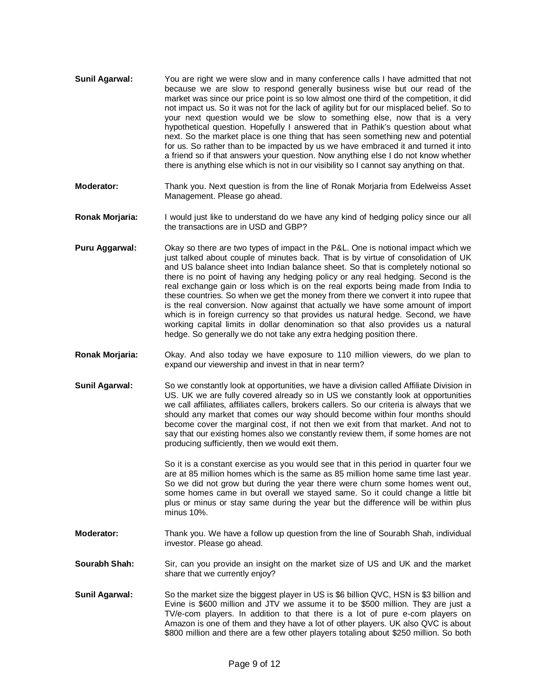- **Sunil Agarwal:** You are right we were slow and in many conference calls I have admitted that not because we are slow to respond generally business wise but our read of the market was since our price point is so low almost one third of the competition, it did not impact us. So it was not for the lack of agility but for our misplaced belief. So to your next question would we be slow to something else, now that is a very hypothetical question. Hopefully I answered that in Pathik's question about what next. So the market place is one thing that has seen something new and potential for us. So rather than to be impacted by us we have embraced it and turned it into a friend so if that answers your question. Now anything else I do not know whether there is anything else which is not in our visibility so I cannot say anything on that.
- **Moderator:** Thank you. Next question is from the line of Ronak Morjaria from Edelweiss Asset Management. Please go ahead.
- **Ronak Morjaria:** I would just like to understand do we have any kind of hedging policy since our all the transactions are in USD and GBP?
- **Puru Aggarwal:** Okay so there are two types of impact in the P&L. One is notional impact which we just talked about couple of minutes back. That is by virtue of consolidation of UK and US balance sheet into Indian balance sheet. So that is completely notional so there is no point of having any hedging policy or any real hedging. Second is the real exchange gain or loss which is on the real exports being made from India to these countries. So when we get the money from there we convert it into rupee that is the real conversion. Now against that actually we have some amount of import which is in foreign currency so that provides us natural hedge. Second, we have working capital limits in dollar denomination so that also provides us a natural hedge. So generally we do not take any extra hedging position there.
- **Ronak Morjaria:** Okay. And also today we have exposure to 110 million viewers, do we plan to expand our viewership and invest in that in near term?
- **Sunil Agarwal:** So we constantly look at opportunities, we have a division called Affiliate Division in US. UK we are fully covered already so in US we constantly look at opportunities we call affiliates, affiliates callers, brokers callers. So our criteria is always that we should any market that comes our way should become within four months should become cover the marginal cost, if not then we exit from that market. And not to say that our existing homes also we constantly review them, if some homes are not producing sufficiently, then we would exit them.

So it is a constant exercise as you would see that in this period in quarter four we are at 85 million homes which is the same as 85 million home same time last year. So we did not grow but during the year there were churn some homes went out, some homes came in but overall we stayed same. So it could change a little bit plus or minus or stay same during the year but the difference will be within plus minus 10%.

- **Moderator:** Thank you. We have a follow up question from the line of Sourabh Shah, individual investor. Please go ahead.
- **Sourabh Shah:** Sir, can you provide an insight on the market size of US and UK and the market share that we currently enjoy?
- **Sunil Agarwal:** So the market size the biggest player in US is \$6 billion QVC, HSN is \$3 billion and Evine is \$600 million and JTV we assume it to be \$500 million. They are just a TV/e-com players. In addition to that there is a lot of pure e-com players on Amazon is one of them and they have a lot of other players. UK also QVC is about \$800 million and there are a few other players totaling about \$250 million. So both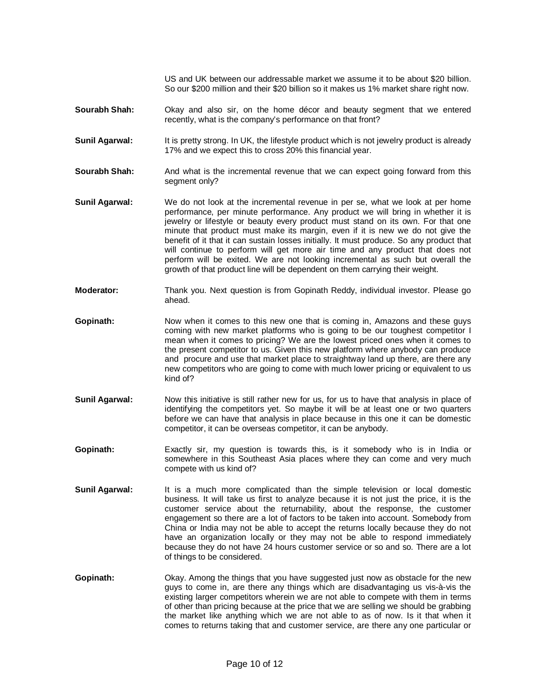US and UK between our addressable market we assume it to be about \$20 billion. So our \$200 million and their \$20 billion so it makes us 1% market share right now.

- **Sourabh Shah:** Okay and also sir, on the home décor and beauty segment that we entered recently, what is the company's performance on that front?
- **Sunil Agarwal:** It is pretty strong. In UK, the lifestyle product which is not jewelry product is already 17% and we expect this to cross 20% this financial year.
- **Sourabh Shah:** And what is the incremental revenue that we can expect going forward from this segment only?
- **Sunil Agarwal:** We do not look at the incremental revenue in per se, what we look at per home performance, per minute performance. Any product we will bring in whether it is jewelry or lifestyle or beauty every product must stand on its own. For that one minute that product must make its margin, even if it is new we do not give the benefit of it that it can sustain losses initially. It must produce. So any product that will continue to perform will get more air time and any product that does not perform will be exited. We are not looking incremental as such but overall the growth of that product line will be dependent on them carrying their weight.
- **Moderator:** Thank you. Next question is from Gopinath Reddy, individual investor. Please go ahead.
- **Gopinath:** Now when it comes to this new one that is coming in, Amazons and these guys coming with new market platforms who is going to be our toughest competitor I mean when it comes to pricing? We are the lowest priced ones when it comes to the present competitor to us. Given this new platform where anybody can produce and procure and use that market place to straightway land up there, are there any new competitors who are going to come with much lower pricing or equivalent to us kind of?
- **Sunil Agarwal:** Now this initiative is still rather new for us, for us to have that analysis in place of identifying the competitors yet. So maybe it will be at least one or two quarters before we can have that analysis in place because in this one it can be domestic competitor, it can be overseas competitor, it can be anybody.
- **Gopinath:** Exactly sir, my question is towards this, is it somebody who is in India or somewhere in this Southeast Asia places where they can come and very much compete with us kind of?
- **Sunil Agarwal:** It is a much more complicated than the simple television or local domestic business. It will take us first to analyze because it is not just the price, it is the customer service about the returnability, about the response, the customer engagement so there are a lot of factors to be taken into account. Somebody from China or India may not be able to accept the returns locally because they do not have an organization locally or they may not be able to respond immediately because they do not have 24 hours customer service or so and so. There are a lot of things to be considered.
- **Gopinath:** Okay. Among the things that you have suggested just now as obstacle for the new guys to come in, are there any things which are disadvantaging us vis-à-vis the existing larger competitors wherein we are not able to compete with them in terms of other than pricing because at the price that we are selling we should be grabbing the market like anything which we are not able to as of now. Is it that when it comes to returns taking that and customer service, are there any one particular or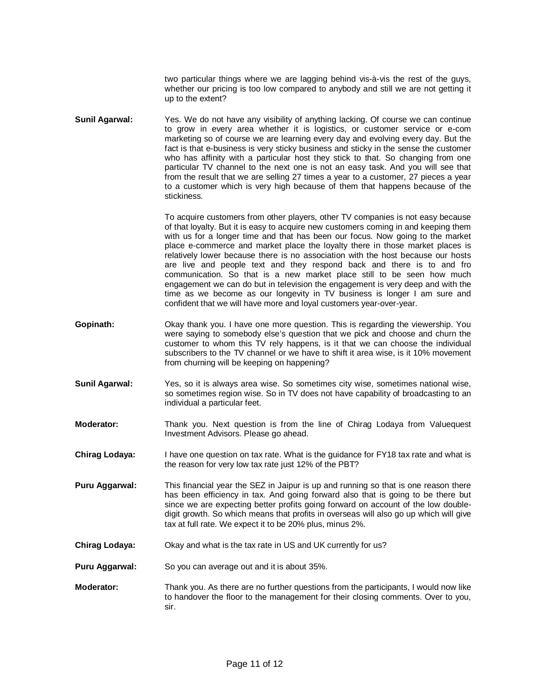two particular things where we are lagging behind vis-à-vis the rest of the guys, whether our pricing is too low compared to anybody and still we are not getting it up to the extent?

**Sunil Agarwal:** Yes. We do not have any visibility of anything lacking. Of course we can continue to grow in every area whether it is logistics, or customer service or e-com marketing so of course we are learning every day and evolving every day. But the fact is that e-business is very sticky business and sticky in the sense the customer who has affinity with a particular host they stick to that. So changing from one particular TV channel to the next one is not an easy task. And you will see that from the result that we are selling 27 times a year to a customer, 27 pieces a year to a customer which is very high because of them that happens because of the stickiness.

> To acquire customers from other players, other TV companies is not easy because of that loyalty. But it is easy to acquire new customers coming in and keeping them with us for a longer time and that has been our focus. Now going to the market place e-commerce and market place the loyalty there in those market places is relatively lower because there is no association with the host because our hosts are live and people text and they respond back and there is to and fro communication. So that is a new market place still to be seen how much engagement we can do but in television the engagement is very deep and with the time as we become as our longevity in TV business is longer I am sure and confident that we will have more and loyal customers year-over-year.

- **Gopinath:** Okay thank you. I have one more question. This is regarding the viewership. You were saying to somebody else's question that we pick and choose and churn the customer to whom this TV rely happens, is it that we can choose the individual subscribers to the TV channel or we have to shift it area wise, is it 10% movement from churning will be keeping on happening?
- **Sunil Agarwal:** Yes, so it is always area wise. So sometimes city wise, sometimes national wise, so sometimes region wise. So in TV does not have capability of broadcasting to an individual a particular feet.
- **Moderator:** Thank you. Next question is from the line of Chirag Lodaya from Valuequest Investment Advisors. Please go ahead.
- **Chirag Lodaya:** I have one question on tax rate. What is the guidance for FY18 tax rate and what is the reason for very low tax rate just 12% of the PBT?
- **Puru Aggarwal:** This financial year the SEZ in Jaipur is up and running so that is one reason there has been efficiency in tax. And going forward also that is going to be there but since we are expecting better profits going forward on account of the low doubledigit growth. So which means that profits in overseas will also go up which will give tax at full rate. We expect it to be 20% plus, minus 2%.
- **Chirag Lodaya:** Okay and what is the tax rate in US and UK currently for us?
- **Puru Aggarwal:** So you can average out and it is about 35%.
- **Moderator:** Thank you. As there are no further questions from the participants, I would now like to handover the floor to the management for their closing comments. Over to you, sir.